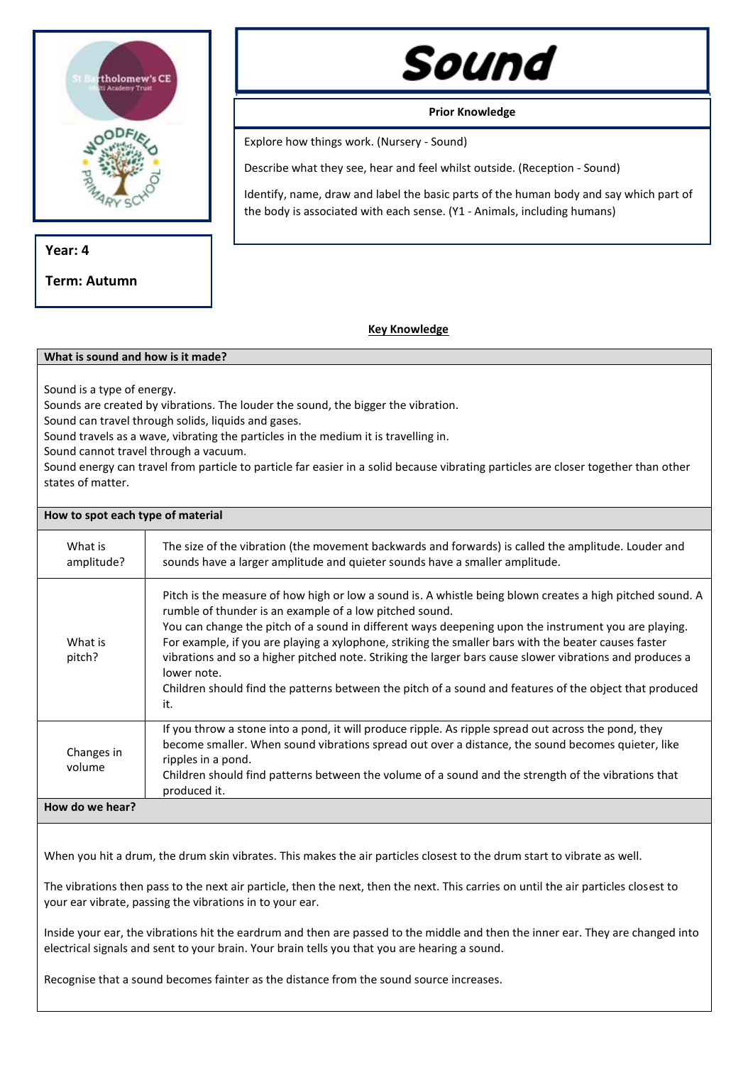

**Year: 4**

**Term: Autumn**

## Sound

**Prior Knowledge**

Explore how things work. (Nursery - Sound)

Describe what they see, hear and feel whilst outside. (Reception - Sound)

Identify, name, draw and label the basic parts of the human body and say which part of the body is associated with each sense. (Y1 - Animals, including humans)

## **Key Knowledge**

## **What is sound and how is it made?**

Sound is a type of energy.

Sounds are created by vibrations. The louder the sound, the bigger the vibration.

Sound can travel through solids, liquids and gases.

Sound travels as a wave, vibrating the particles in the medium it is travelling in.

Sound cannot travel through a vacuum.

Sound energy can travel from particle to particle far easier in a solid because vibrating particles are closer together than other states of matter.

## **How to spot each type of material**

| What is<br>amplitude? | The size of the vibration (the movement backwards and forwards) is called the amplitude. Louder and<br>sounds have a larger amplitude and quieter sounds have a smaller amplitude.                                                                                                                                                                                                                                                                                                                                                                                                                                                |
|-----------------------|-----------------------------------------------------------------------------------------------------------------------------------------------------------------------------------------------------------------------------------------------------------------------------------------------------------------------------------------------------------------------------------------------------------------------------------------------------------------------------------------------------------------------------------------------------------------------------------------------------------------------------------|
| What is<br>pitch?     | Pitch is the measure of how high or low a sound is. A whistle being blown creates a high pitched sound. A<br>rumble of thunder is an example of a low pitched sound.<br>You can change the pitch of a sound in different ways deepening upon the instrument you are playing.<br>For example, if you are playing a xylophone, striking the smaller bars with the beater causes faster<br>vibrations and so a higher pitched note. Striking the larger bars cause slower vibrations and produces a<br>lower note.<br>Children should find the patterns between the pitch of a sound and features of the object that produced<br>it. |
| Changes in<br>volume  | If you throw a stone into a pond, it will produce ripple. As ripple spread out across the pond, they<br>become smaller. When sound vibrations spread out over a distance, the sound becomes quieter, like<br>ripples in a pond.<br>Children should find patterns between the volume of a sound and the strength of the vibrations that<br>produced it.                                                                                                                                                                                                                                                                            |
| How do we hear?       |                                                                                                                                                                                                                                                                                                                                                                                                                                                                                                                                                                                                                                   |

When you hit a drum, the drum skin vibrates. This makes the air particles closest to the drum start to vibrate as well.

The vibrations then pass to the next air particle, then the next, then the next. This carries on until the air particles closest to your ear vibrate, passing the vibrations in to your ear.

Inside your ear, the vibrations hit the eardrum and then are passed to the middle and then the inner ear. They are changed into electrical signals and sent to your brain. Your brain tells you that you are hearing a sound.

Recognise that a sound becomes fainter as the distance from the sound source increases.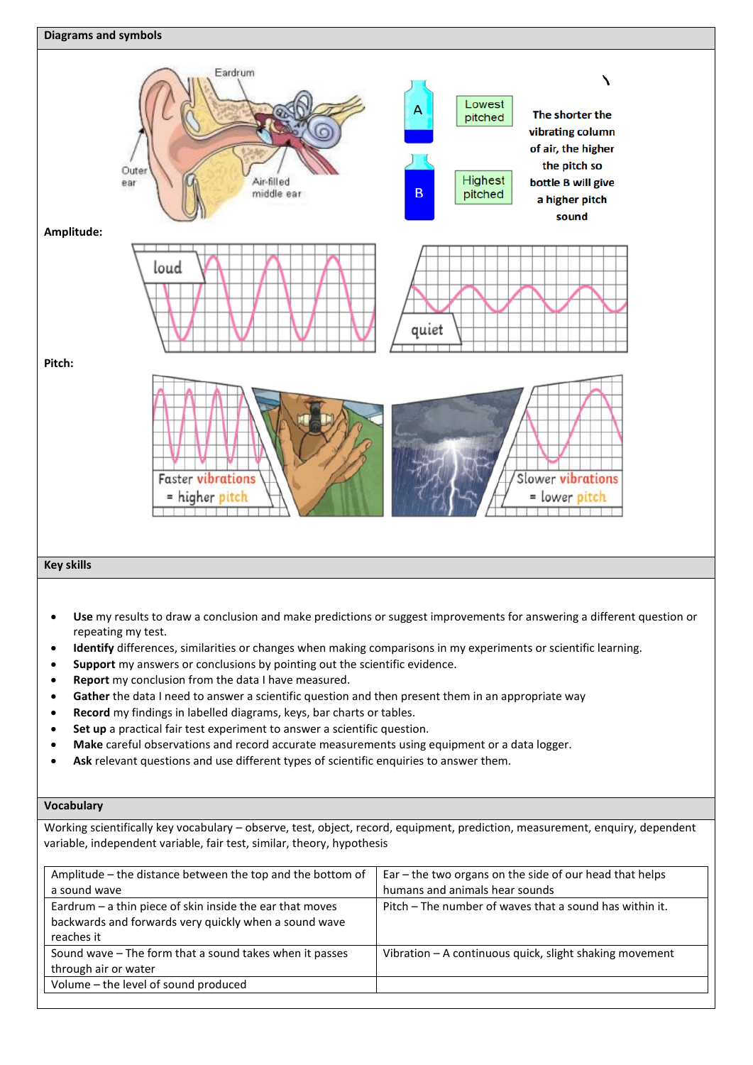